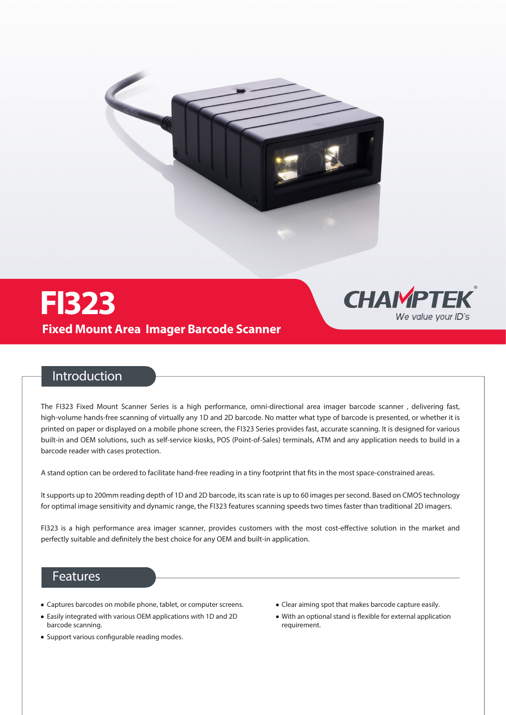



### **Introduction**

The FI340 Fixed Mount Scanner Series is a high performance, omni-directional area imager barcode scanner , delivering fast, high-volume hands-free scanning of virtually any 1D and 2D barcode. No matter what type of barcode is presented, or whether it is printed on paper or displayed on a mobile phone screen, the FI340 Series provides fast, accurate scanning. It is designed for various built-in and OEM solutions, such as self-service kiosks, POS (Point-of-Sales) terminals, ATM and any application needs to build in a barcode reader with cases protection.

A stand option can be ordered to facilitate hand-free reading in a tiny footprint that fits in the most space-constrained areas.

It supports up to 280mm reading depth of 1D and 2D barcode, its scan rate is up to 60 images per second. Based on CMOS technology for optimal image sensitivity and dynamic range, the FI340 features scanning speeds two times faster than traditional 2D imagers.

FI340 is a high performance area imager scanner, provides customers with the most cost-effective solution in the market and perfectly suitable and definitely the best choice for any OEM and built-in application.

## **Features**

- Captures barcodes on mobile phone, tablet, or computer screens.
- Easily integrated with various OEM applications with 1D and 2D barcode scanning.
- Support various configurable reading modes.
- Clear aiming spot that makes barcode capture easily.
- $\bullet$  With an optional stand is flexible for external application requirement.